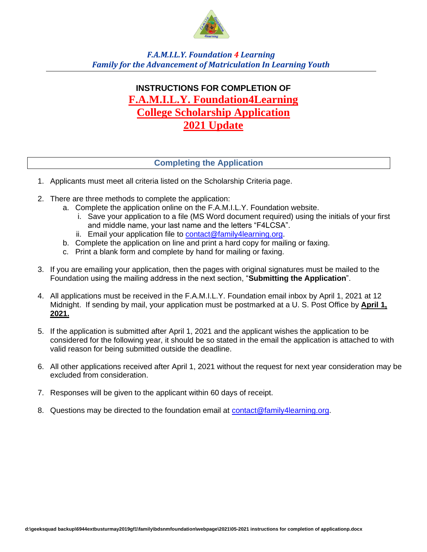

*F.A.M.I.L.Y. Foundation 4 Learning Family for the Advancement of Matriculation In Learning Youth*

# **INSTRUCTIONS FOR COMPLETION OF F.A.M.I.L.Y. Foundation4Learning College Scholarship Application 2021 Update**

## **Completing the Application**

- 1. Applicants must meet all criteria listed on the Scholarship Criteria page.
- 2. There are three methods to complete the application:
	- a. Complete the application online on the F.A.M.I.L.Y. Foundation website.
		- i. Save your application to a file (MS Word document required) using the initials of your first and middle name, your last name and the letters "F4LCSA".
		- ii. Email your application file to [contact@family4learning.org.](mailto:contact@family4learning.org)
	- b. Complete the application on line and print a hard copy for mailing or faxing.
	- c. Print a blank form and complete by hand for mailing or faxing.
- 3. If you are emailing your application, then the pages with original signatures must be mailed to the Foundation using the mailing address in the next section, "**Submitting the Application**".
- 4. All applications must be received in the F.A.M.I.L.Y. Foundation email inbox by April 1, 2021 at 12 Midnight. If sending by mail, your application must be postmarked at a U. S. Post Office by **April 1, 2021.**
- 5. If the application is submitted after April 1, 2021 and the applicant wishes the application to be considered for the following year, it should be so stated in the email the application is attached to with valid reason for being submitted outside the deadline.
- 6. All other applications received after April 1, 2021 without the request for next year consideration may be excluded from consideration.
- 7. Responses will be given to the applicant within 60 days of receipt.
- 8. Questions may be directed to the foundation email at [contact@family4learning.org.](mailto:contact@family4learning.org)